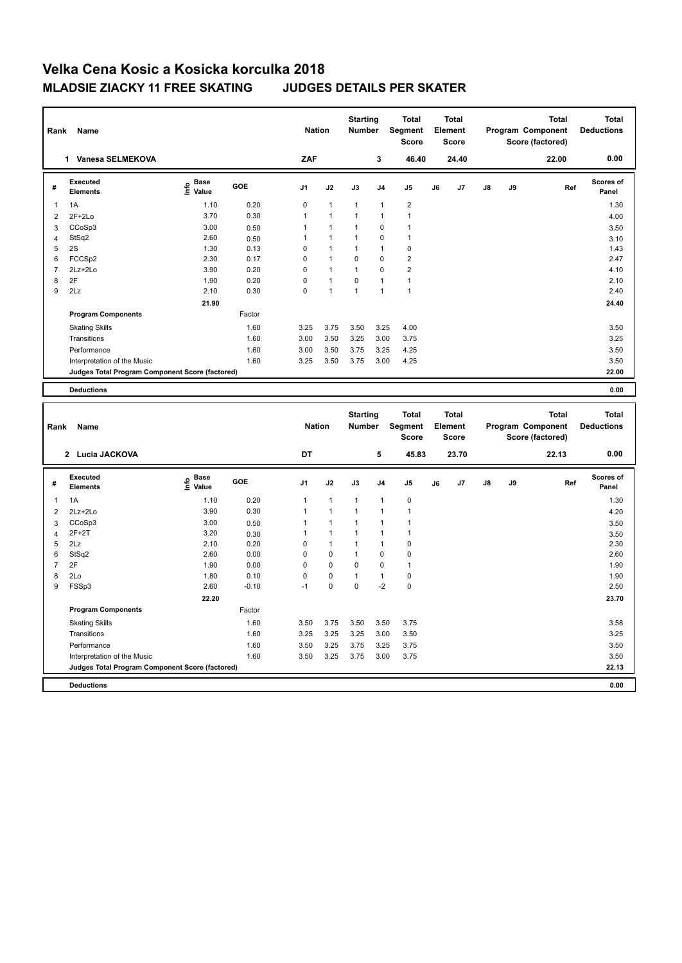| Rank             | Name                                                                 |                                           |                 | <b>Nation</b>  |                | <b>Starting</b><br>Number |                            | Total<br>Segment<br><b>Score</b>        |    | <b>Total</b><br>Element<br><b>Score</b> |    |    | <b>Total</b><br>Program Component<br>Score (factored) | <b>Total</b><br><b>Deductions</b> |
|------------------|----------------------------------------------------------------------|-------------------------------------------|-----------------|----------------|----------------|---------------------------|----------------------------|-----------------------------------------|----|-----------------------------------------|----|----|-------------------------------------------------------|-----------------------------------|
|                  | 1 Vanesa SELMEKOVA                                                   |                                           |                 | ZAF            |                |                           | 3                          | 46.40                                   |    | 24.40                                   |    |    | 22.00                                                 | 0.00                              |
| #                | <b>Executed</b><br><b>Elements</b>                                   | $\frac{e}{E}$ Base<br>$\frac{e}{E}$ Value | GOE             | J <sub>1</sub> | J2             | J3                        | J <sub>4</sub>             | J <sub>5</sub>                          | J6 | J7                                      | J8 | J9 | Ref                                                   | <b>Scores of</b><br>Panel         |
| 1                | 1A                                                                   | 1.10                                      | 0.20            | 0              | $\mathbf{1}$   | $\mathbf{1}$              | $\mathbf{1}$               | $\overline{2}$                          |    |                                         |    |    |                                                       | 1.30                              |
| $\boldsymbol{2}$ | $2F+2Lo$                                                             | 3.70                                      | 0.30            | 1              | 1              | 1                         | $\overline{1}$             | $\mathbf{1}$                            |    |                                         |    |    |                                                       | 4.00                              |
| 3                | CCoSp3                                                               | 3.00                                      | 0.50            | 1              | $\mathbf{1}$   | $\mathbf{1}$              | $\mathbf 0$                | $\mathbf{1}$                            |    |                                         |    |    |                                                       | 3.50                              |
| $\overline{4}$   | StSq2                                                                | 2.60                                      | 0.50            | $\mathbf{1}$   | 1              | $\mathbf{1}$              | $\mathbf 0$                | $\mathbf{1}$                            |    |                                         |    |    |                                                       | 3.10                              |
| 5                | 2S                                                                   | 1.30                                      | 0.13            | 0              | 1              | 1                         | $\mathbf{1}$               | $\pmb{0}$                               |    |                                         |    |    |                                                       | 1.43                              |
| 6                | FCCSp2                                                               | 2.30                                      | 0.17            | 0              | $\mathbf{1}$   | $\mathbf 0$               | $\mathbf 0$                | $\overline{2}$                          |    |                                         |    |    |                                                       | 2.47                              |
| $\overline{7}$   | 2Lz+2Lo                                                              | 3.90                                      | 0.20            | 0              | $\mathbf{1}$   | $\mathbf{1}$              | $\mathbf 0$                | $\overline{2}$                          |    |                                         |    |    |                                                       | 4.10                              |
| 8                | 2F                                                                   | 1.90                                      | 0.20            | 0              | $\mathbf{1}$   | $\mathbf 0$               | $\mathbf{1}$               | $\mathbf{1}$                            |    |                                         |    |    |                                                       | 2.10                              |
| 9                | 2Lz                                                                  | 2.10                                      | 0.30            | $\Omega$       | $\mathbf{1}$   | $\mathbf{1}$              | $\overline{1}$             | $\mathbf{1}$                            |    |                                         |    |    |                                                       | 2.40                              |
|                  |                                                                      | 21.90                                     |                 |                |                |                           |                            |                                         |    |                                         |    |    |                                                       | 24.40                             |
|                  | <b>Program Components</b>                                            |                                           | Factor          |                |                |                           |                            |                                         |    |                                         |    |    |                                                       |                                   |
|                  | <b>Skating Skills</b>                                                |                                           | 1.60            | 3.25           | 3.75           | 3.50                      | 3.25                       | 4.00                                    |    |                                         |    |    |                                                       | 3.50                              |
|                  | Transitions                                                          |                                           | 1.60            | 3.00           | 3.50           | 3.25                      | 3.00                       | 3.75                                    |    |                                         |    |    |                                                       | 3.25                              |
|                  | Performance                                                          |                                           | 1.60            | 3.00           | 3.50           | 3.75                      | 3.25                       | 4.25                                    |    |                                         |    |    |                                                       | 3.50                              |
|                  | Interpretation of the Music                                          |                                           | 1.60            | 3.25           | 3.50           | 3.75                      | 3.00                       | 4.25                                    |    |                                         |    |    |                                                       | 3.50                              |
|                  | Judges Total Program Component Score (factored)                      |                                           |                 |                |                |                           |                            |                                         |    |                                         |    |    |                                                       | 22.00                             |
|                  |                                                                      |                                           |                 |                |                |                           |                            |                                         |    |                                         |    |    |                                                       |                                   |
|                  | <b>Deductions</b>                                                    |                                           |                 |                |                |                           |                            |                                         |    |                                         |    |    |                                                       | 0.00                              |
|                  |                                                                      |                                           |                 |                |                |                           |                            |                                         |    |                                         |    |    |                                                       |                                   |
| Rank             | Name                                                                 |                                           |                 | <b>Nation</b>  |                | <b>Starting</b><br>Number |                            | <b>Total</b><br>Segment<br><b>Score</b> |    | <b>Total</b><br>Element<br><b>Score</b> |    |    | <b>Total</b><br>Program Component<br>Score (factored) | <b>Total</b><br><b>Deductions</b> |
|                  | 2 Lucia JACKOVA                                                      |                                           |                 | DT             |                |                           | 5                          | 45.83                                   |    | 23.70                                   |    |    | 22.13                                                 | 0.00                              |
| #                | <b>Executed</b><br><b>Elements</b>                                   |                                           | GOE             | J <sub>1</sub> | J2             | J3                        | J4                         | J <sub>5</sub>                          | J6 | J7                                      | J8 | J9 | Ref                                                   | <b>Scores of</b><br>Panel         |
|                  |                                                                      | e Base<br>E Value                         |                 |                |                |                           |                            |                                         |    |                                         |    |    |                                                       |                                   |
| $\mathbf{1}$     | 1A                                                                   | 1.10                                      | 0.20            | $\mathbf{1}$   | $\mathbf{1}$   | $\mathbf{1}$              | $\mathbf{1}$               | $\pmb{0}$                               |    |                                         |    |    |                                                       | 1.30                              |
| $\overline{2}$   | $2Lz + 2Lo$                                                          | 3.90                                      | 0.30            | $\mathbf{1}$   | $\overline{1}$ | 1                         | $\overline{1}$             | $\mathbf{1}$                            |    |                                         |    |    |                                                       | 4.20                              |
| 3                | CCoSp3                                                               | 3.00                                      | 0.50            | 1              | 1              | 1                         | $\overline{1}$             | $\mathbf{1}$                            |    |                                         |    |    |                                                       | 3.50                              |
| 4                | $2F+2T$                                                              | 3.20                                      | 0.30            | 1              | 1              | 1                         | $\mathbf{1}$               | $\mathbf{1}$                            |    |                                         |    |    |                                                       | 3.50                              |
| 5                | 2Lz                                                                  | 2.10                                      | 0.20            | 0              | $\mathbf{1}$   | $\mathbf{1}$              | $\mathbf{1}$               | $\pmb{0}$                               |    |                                         |    |    |                                                       | 2.30                              |
| 6                | StSq2                                                                | 2.60                                      | 0.00            | 0<br>0         | 0<br>0         | 1<br>0                    | $\mathbf 0$<br>$\mathbf 0$ | $\pmb{0}$<br>$\mathbf{1}$               |    |                                         |    |    |                                                       | 2.60                              |
| $\overline{7}$   | 2F                                                                   | 1.90                                      | 0.00            |                |                | 1                         |                            |                                         |    |                                         |    |    |                                                       | 1.90                              |
| 8<br>9           | 2Lo<br>FSSp3                                                         | 1.80<br>2.60                              | 0.10<br>$-0.10$ | 0<br>$-1$      | 0<br>0         | 0                         | $\mathbf{1}$<br>$-2$       | $\pmb{0}$<br>$\pmb{0}$                  |    |                                         |    |    |                                                       | 1.90<br>2.50                      |
|                  |                                                                      |                                           |                 |                |                |                           |                            |                                         |    |                                         |    |    |                                                       |                                   |
|                  | <b>Program Components</b>                                            | 22.20                                     | Factor          |                |                |                           |                            |                                         |    |                                         |    |    |                                                       | 23.70                             |
|                  |                                                                      |                                           |                 |                |                |                           |                            |                                         |    |                                         |    |    |                                                       |                                   |
|                  | <b>Skating Skills</b>                                                |                                           | 1.60            | 3.50           | 3.75           | 3.50                      | 3.50                       | 3.75                                    |    |                                         |    |    |                                                       | 3.58                              |
|                  | Transitions                                                          |                                           | 1.60            | 3.25           | 3.25           | 3.25                      | 3.00                       | 3.50                                    |    |                                         |    |    |                                                       | 3.25                              |
|                  | Performance                                                          |                                           | 1.60            | 3.50           | 3.25           | 3.75                      | 3.25                       | 3.75                                    |    |                                         |    |    |                                                       | 3.50                              |
|                  | Interpretation of the Music                                          |                                           | 1.60            | 3.50           | 3.25           | 3.75                      | 3.00                       | 3.75                                    |    |                                         |    |    |                                                       | 3.50                              |
|                  | Judges Total Program Component Score (factored)<br><b>Deductions</b> |                                           |                 |                |                |                           |                            |                                         |    |                                         |    |    |                                                       | 22.13<br>0.00                     |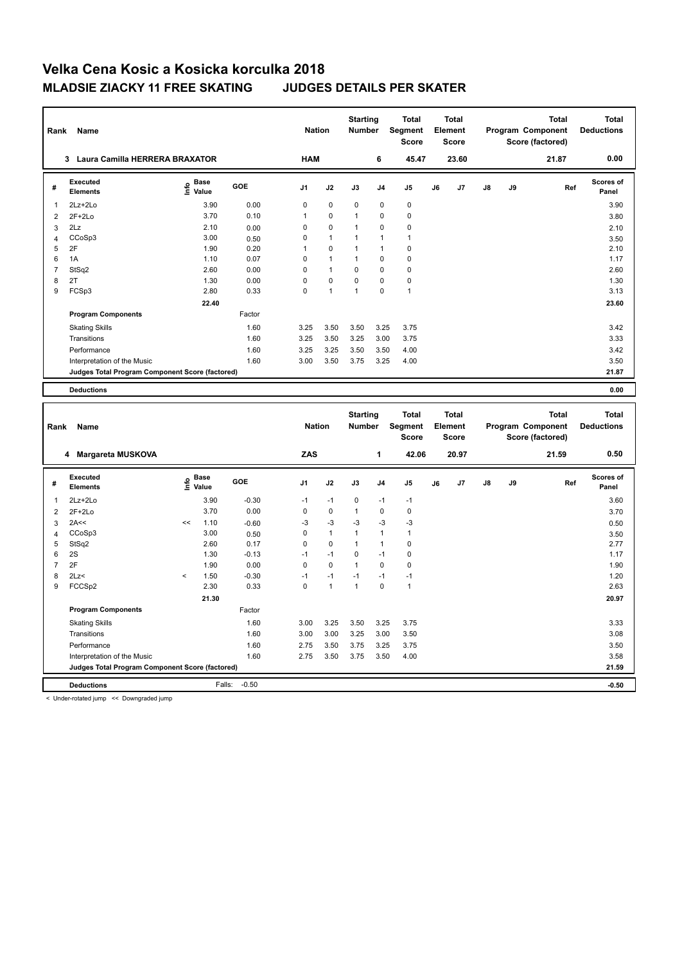| Rank           | Name                                            |                                           |         | <b>Nation</b>  |              | <b>Starting</b><br><b>Number</b> |                | <b>Total</b><br>Segment<br><b>Score</b> |    | <b>Total</b><br>Element<br><b>Score</b> |    |    | <b>Total</b><br>Program Component<br>Score (factored) | <b>Total</b><br><b>Deductions</b> |
|----------------|-------------------------------------------------|-------------------------------------------|---------|----------------|--------------|----------------------------------|----------------|-----------------------------------------|----|-----------------------------------------|----|----|-------------------------------------------------------|-----------------------------------|
|                | 3 Laura Camilla HERRERA BRAXATOR                |                                           |         | <b>HAM</b>     |              |                                  | 6              | 45.47                                   |    | 23.60                                   |    |    | 21.87                                                 | 0.00                              |
| #              | <b>Executed</b><br><b>Elements</b>              | $\frac{e}{E}$ Base<br>$\frac{e}{E}$ Value | GOE     | J <sub>1</sub> | J2           | J3                               | J <sub>4</sub> | J <sub>5</sub>                          | J6 | J7                                      | J8 | J9 | Ref                                                   | Scores of<br>Panel                |
| 1              | 2Lz+2Lo                                         | 3.90                                      | 0.00    | 0              | $\mathbf 0$  | $\mathbf 0$                      | $\mathbf 0$    | $\pmb{0}$                               |    |                                         |    |    |                                                       | 3.90                              |
| $\overline{2}$ | $2F+2Lo$                                        | 3.70                                      | 0.10    | $\mathbf{1}$   | 0            | $\mathbf{1}$                     | $\mathbf 0$    | $\pmb{0}$                               |    |                                         |    |    |                                                       | 3.80                              |
| 3              | 2Lz                                             | 2.10                                      | 0.00    | 0              | 0            | $\mathbf{1}$                     | $\mathbf 0$    | $\mathbf 0$                             |    |                                         |    |    |                                                       | 2.10                              |
| 4              | CCoSp3                                          | 3.00                                      | 0.50    | 0              | $\mathbf{1}$ | 1                                | $\mathbf{1}$   | $\mathbf{1}$                            |    |                                         |    |    |                                                       | 3.50                              |
| 5              | 2F                                              | 1.90                                      | 0.20    | 1              | 0            | 1                                | $\mathbf{1}$   | $\mathbf 0$                             |    |                                         |    |    |                                                       | 2.10                              |
| 6              | 1A                                              | 1.10                                      | 0.07    | $\mathbf 0$    | $\mathbf{1}$ | $\mathbf{1}$                     | $\mathbf 0$    | $\mathbf 0$                             |    |                                         |    |    |                                                       | 1.17                              |
| $\overline{7}$ | StSq2                                           | 2.60                                      | 0.00    | 0              | $\mathbf{1}$ | 0                                | $\mathbf 0$    | $\pmb{0}$                               |    |                                         |    |    |                                                       | 2.60                              |
| 8              | 2T                                              | 1.30                                      | 0.00    | 0              | 0            | 0                                | $\mathbf 0$    | $\pmb{0}$                               |    |                                         |    |    |                                                       | 1.30                              |
| 9              | FCSp3                                           | 2.80                                      | 0.33    | 0              | 1            | 1                                | $\mathbf 0$    | $\mathbf{1}$                            |    |                                         |    |    |                                                       | 3.13                              |
|                |                                                 | 22.40                                     |         |                |              |                                  |                |                                         |    |                                         |    |    |                                                       | 23.60                             |
|                | <b>Program Components</b>                       |                                           | Factor  |                |              |                                  |                |                                         |    |                                         |    |    |                                                       |                                   |
|                | <b>Skating Skills</b>                           |                                           | 1.60    | 3.25           | 3.50         | 3.50                             | 3.25           | 3.75                                    |    |                                         |    |    |                                                       | 3.42                              |
|                | Transitions                                     |                                           | 1.60    | 3.25           | 3.50         | 3.25                             | 3.00           | 3.75                                    |    |                                         |    |    |                                                       | 3.33                              |
|                | Performance                                     |                                           | 1.60    | 3.25           | 3.25         | 3.50                             | 3.50           | 4.00                                    |    |                                         |    |    |                                                       | 3.42                              |
|                | Interpretation of the Music                     |                                           | 1.60    | 3.00           | 3.50         | 3.75                             | 3.25           | 4.00                                    |    |                                         |    |    |                                                       | 3.50                              |
|                | Judges Total Program Component Score (factored) |                                           |         |                |              |                                  |                |                                         |    |                                         |    |    |                                                       | 21.87                             |
|                |                                                 |                                           |         |                |              |                                  |                |                                         |    |                                         |    |    |                                                       |                                   |
|                | <b>Deductions</b>                               |                                           |         |                |              |                                  |                |                                         |    |                                         |    |    |                                                       | 0.00                              |
|                |                                                 |                                           |         |                |              |                                  |                |                                         |    |                                         |    |    |                                                       |                                   |
|                |                                                 |                                           |         |                |              | <b>Starting</b>                  |                | <b>Total</b>                            |    | <b>Total</b>                            |    |    | <b>Total</b>                                          | <b>Total</b>                      |
| Rank           | Name                                            |                                           |         |                |              |                                  |                |                                         |    |                                         |    |    |                                                       |                                   |
|                |                                                 |                                           |         | <b>Nation</b>  |              | <b>Number</b>                    |                | Segment                                 |    | Element                                 |    |    | Program Component                                     | <b>Deductions</b>                 |
|                |                                                 |                                           |         |                |              |                                  |                | <b>Score</b>                            |    | <b>Score</b>                            |    |    | Score (factored)                                      |                                   |
|                |                                                 |                                           |         |                |              |                                  |                |                                         |    |                                         |    |    |                                                       |                                   |
|                | 4 Margareta MUSKOVA                             |                                           |         | ZAS            |              |                                  | 1              | 42.06                                   |    | 20.97                                   |    |    | 21.59                                                 | 0.50                              |
| #              | <b>Executed</b>                                 |                                           | GOE     | J <sub>1</sub> | J2           | J3                               | J <sub>4</sub> | J5                                      | J6 | J7                                      | J8 | J9 | Ref                                                   | <b>Scores of</b>                  |
|                | <b>Elements</b>                                 | $\overset{\circ}{\text{E}}$ Value         |         |                |              |                                  |                |                                         |    |                                         |    |    |                                                       | Panel                             |
| 1              | 2Lz+2Lo                                         | 3.90                                      | $-0.30$ | $-1$           | $-1$         | 0                                | $-1$           | $-1$                                    |    |                                         |    |    |                                                       | 3.60                              |
| 2              | $2F+2Lo$                                        | 3.70                                      | 0.00    | 0              | $\pmb{0}$    | 1                                | $\mathbf 0$    | $\pmb{0}$                               |    |                                         |    |    |                                                       | 3.70                              |
| 3              | 2A<<                                            | <<<br>1.10                                | $-0.60$ | $-3$           | $-3$         | $-3$                             | $-3$           | -3                                      |    |                                         |    |    |                                                       | 0.50                              |
| $\overline{4}$ | CCoSp3                                          | 3.00                                      | 0.50    | 0              | $\mathbf{1}$ | 1                                | $\mathbf{1}$   | $\mathbf{1}$                            |    |                                         |    |    |                                                       | 3.50                              |
| 5              | StSq2                                           | 2.60                                      | 0.17    | 0              | 0            | 1                                | $\mathbf{1}$   | $\mathbf 0$                             |    |                                         |    |    |                                                       | 2.77                              |
| 6              | 2S                                              | 1.30                                      | $-0.13$ | $-1$           | $-1$         | 0                                | $-1$           | $\pmb{0}$                               |    |                                         |    |    |                                                       | 1.17                              |
| $\overline{7}$ | 2F                                              | 1.90                                      | 0.00    | 0              | 0            | $\mathbf{1}$                     | $\Omega$       | $\mathbf 0$                             |    |                                         |    |    |                                                       | 1.90                              |
| 8              | 2Lz                                             | 1.50<br><                                 | $-0.30$ | $-1$           | $-1$         | $-1$                             | $-1$           | $-1$                                    |    |                                         |    |    |                                                       | 1.20                              |
| 9              | FCCSp2                                          | 2.30                                      | 0.33    | $\Omega$       | $\mathbf{1}$ | $\mathbf{1}$                     | $\mathbf 0$    | $\mathbf{1}$                            |    |                                         |    |    |                                                       | 2.63                              |
|                |                                                 | 21.30                                     |         |                |              |                                  |                |                                         |    |                                         |    |    |                                                       | 20.97                             |
|                | <b>Program Components</b>                       |                                           | Factor  |                |              |                                  |                |                                         |    |                                         |    |    |                                                       |                                   |
|                | <b>Skating Skills</b>                           |                                           | 1.60    | 3.00           | 3.25         | 3.50                             | 3.25           | 3.75                                    |    |                                         |    |    |                                                       | 3.33                              |
|                | Transitions                                     |                                           | 1.60    | 3.00           | 3.00         | 3.25                             | 3.00           | 3.50                                    |    |                                         |    |    |                                                       | 3.08                              |
|                | Performance                                     |                                           | 1.60    | 2.75           | 3.50         | 3.75                             | 3.25           | 3.75                                    |    |                                         |    |    |                                                       | 3.50                              |
|                | Interpretation of the Music                     |                                           | 1.60    | 2.75           | 3.50         | 3.75                             | 3.50           | 4.00                                    |    |                                         |    |    |                                                       | 3.58                              |

**Deductions** Falls: -0.50 **-0.50**

< Under-rotated jump << Downgraded jump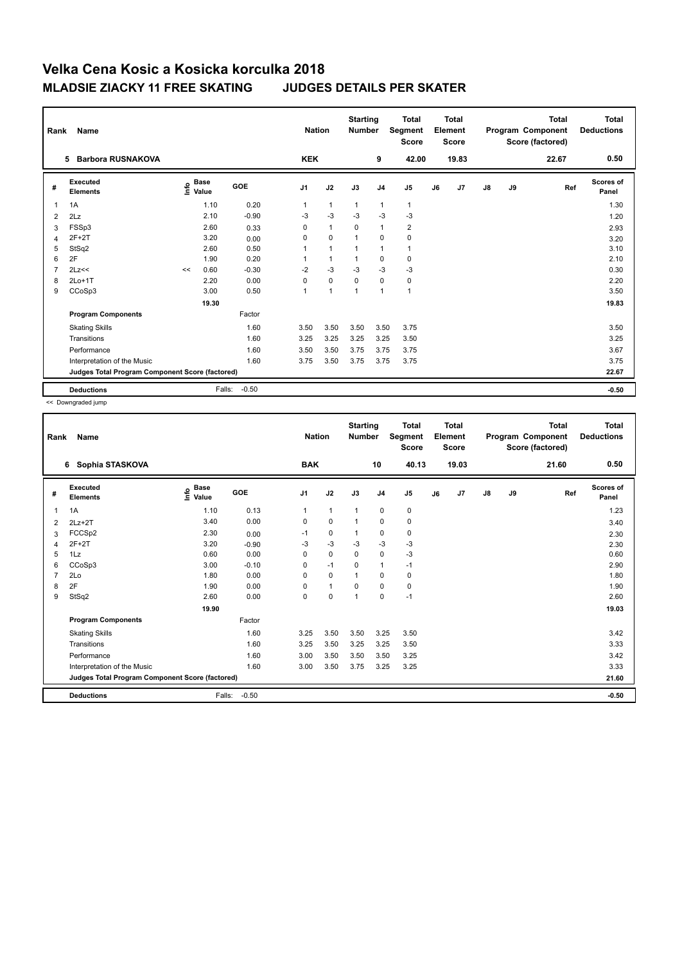| Rank           | Name                                            |      |                      |         |                | <b>Nation</b>  | <b>Starting</b><br><b>Number</b> |                | <b>Total</b><br>Segment<br><b>Score</b> |    | Total<br>Element<br>Score |               |    | Total<br>Program Component<br>Score (factored) | Total<br><b>Deductions</b> |
|----------------|-------------------------------------------------|------|----------------------|---------|----------------|----------------|----------------------------------|----------------|-----------------------------------------|----|---------------------------|---------------|----|------------------------------------------------|----------------------------|
|                | <b>Barbora RUSNAKOVA</b><br>5                   |      |                      |         | <b>KEK</b>     |                |                                  | 9              | 42.00                                   |    | 19.83                     |               |    | 22.67                                          | 0.50                       |
| #              | Executed<br><b>Elements</b>                     | ١nfo | <b>Base</b><br>Value | GOE     | J <sub>1</sub> | J2             | J3                               | J <sub>4</sub> | J <sub>5</sub>                          | J6 | J7                        | $\mathsf{J}8$ | J9 | Ref                                            | <b>Scores of</b><br>Panel  |
| $\overline{1}$ | 1A                                              |      | 1.10                 | 0.20    | 1              | $\mathbf{1}$   | $\mathbf{1}$                     | $\mathbf{1}$   | $\mathbf{1}$                            |    |                           |               |    |                                                | 1.30                       |
| 2              | 2Lz                                             |      | 2.10                 | $-0.90$ | $-3$           | $-3$           | $-3$                             | $-3$           | $-3$                                    |    |                           |               |    |                                                | 1.20                       |
| 3              | FSSp3                                           |      | 2.60                 | 0.33    | 0              | $\mathbf{1}$   | $\mathbf 0$                      | $\mathbf{1}$   | $\overline{2}$                          |    |                           |               |    |                                                | 2.93                       |
| 4              | $2F+2T$                                         |      | 3.20                 | 0.00    | $\Omega$       | $\mathbf 0$    | 1                                | $\mathbf 0$    | 0                                       |    |                           |               |    |                                                | 3.20                       |
| 5              | StSq2                                           |      | 2.60                 | 0.50    |                | $\overline{1}$ |                                  | 1              | $\mathbf{1}$                            |    |                           |               |    |                                                | 3.10                       |
| 6              | 2F                                              |      | 1.90                 | 0.20    |                | $\mathbf{1}$   |                                  | 0              | 0                                       |    |                           |               |    |                                                | 2.10                       |
| $\overline{7}$ | 2Lz<<                                           | <<   | 0.60                 | $-0.30$ | $-2$           | $-3$           | $-3$                             | $-3$           | $-3$                                    |    |                           |               |    |                                                | 0.30                       |
| 8              | $2Lo+1T$                                        |      | 2.20                 | 0.00    | $\Omega$       | $\mathbf 0$    | $\mathbf 0$                      | $\mathbf 0$    | 0                                       |    |                           |               |    |                                                | 2.20                       |
| 9              | CCoSp3                                          |      | 3.00                 | 0.50    | 1              | $\overline{1}$ |                                  | $\overline{1}$ | $\mathbf{1}$                            |    |                           |               |    |                                                | 3.50                       |
|                |                                                 |      | 19.30                |         |                |                |                                  |                |                                         |    |                           |               |    |                                                | 19.83                      |
|                | <b>Program Components</b>                       |      |                      | Factor  |                |                |                                  |                |                                         |    |                           |               |    |                                                |                            |
|                | <b>Skating Skills</b>                           |      |                      | 1.60    | 3.50           | 3.50           | 3.50                             | 3.50           | 3.75                                    |    |                           |               |    |                                                | 3.50                       |
|                | Transitions                                     |      |                      | 1.60    | 3.25           | 3.25           | 3.25                             | 3.25           | 3.50                                    |    |                           |               |    |                                                | 3.25                       |
|                | Performance                                     |      |                      | 1.60    | 3.50           | 3.50           | 3.75                             | 3.75           | 3.75                                    |    |                           |               |    |                                                | 3.67                       |
|                | Interpretation of the Music                     |      |                      | 1.60    | 3.75           | 3.50           | 3.75                             | 3.75           | 3.75                                    |    |                           |               |    |                                                | 3.75                       |
|                | Judges Total Program Component Score (factored) |      |                      |         |                |                |                                  |                |                                         |    |                           |               |    |                                                | 22.67                      |
|                | <b>Deductions</b>                               |      | Falls:               | $-0.50$ |                |                |                                  |                |                                         |    |                           |               |    |                                                | $-0.50$                    |

<< Downgraded jump

| Rank | Name                                            |                                  |            | <b>Nation</b>  |              | <b>Starting</b><br><b>Number</b> |                | <b>Total</b><br>Segment<br>Score |    | <b>Total</b><br>Element<br><b>Score</b> |    |    | <b>Total</b><br>Program Component<br>Score (factored) | <b>Total</b><br><b>Deductions</b> |
|------|-------------------------------------------------|----------------------------------|------------|----------------|--------------|----------------------------------|----------------|----------------------------------|----|-----------------------------------------|----|----|-------------------------------------------------------|-----------------------------------|
|      | Sophia STASKOVA<br>6                            |                                  |            | <b>BAK</b>     |              |                                  | 10             | 40.13                            |    | 19.03                                   |    |    | 21.60                                                 | 0.50                              |
| #    | <b>Executed</b><br><b>Elements</b>              | <b>Base</b><br>e Base<br>⊆ Value | <b>GOE</b> | J <sub>1</sub> | J2           | J3                               | J <sub>4</sub> | J5                               | J6 | J7                                      | J8 | J9 | Ref                                                   | <b>Scores of</b><br>Panel         |
| 1    | 1A                                              | 1.10                             | 0.13       | $\mathbf{1}$   | $\mathbf{1}$ | $\mathbf{1}$                     | $\mathbf 0$    | 0                                |    |                                         |    |    |                                                       | 1.23                              |
| 2    | $2Lz+2T$                                        | 3.40                             | 0.00       | 0              | $\mathbf 0$  | $\mathbf{1}$                     | $\mathbf 0$    | $\mathbf 0$                      |    |                                         |    |    |                                                       | 3.40                              |
| 3    | FCCSp2                                          | 2.30                             | 0.00       | $-1$           | $\pmb{0}$    | 1                                | $\pmb{0}$      | $\pmb{0}$                        |    |                                         |    |    |                                                       | 2.30                              |
| 4    | $2F+2T$                                         | 3.20                             | $-0.90$    | $-3$           | $-3$         | $-3$                             | $-3$           | $-3$                             |    |                                         |    |    |                                                       | 2.30                              |
| 5    | 1Lz                                             | 0.60                             | 0.00       | 0              | $\mathbf 0$  | $\Omega$                         | $\pmb{0}$      | $-3$                             |    |                                         |    |    |                                                       | 0.60                              |
| 6    | CCoSp3                                          | 3.00                             | $-0.10$    | 0              | $-1$         | $\mathbf 0$                      | $\mathbf{1}$   | $-1$                             |    |                                         |    |    |                                                       | 2.90                              |
|      | 2Lo                                             | 1.80                             | 0.00       | $\Omega$       | $\mathbf 0$  | 1                                | $\mathbf 0$    | $\mathbf 0$                      |    |                                         |    |    |                                                       | 1.80                              |
| 8    | 2F                                              | 1.90                             | 0.00       | 0              | $\mathbf{1}$ | 0                                | $\mathbf 0$    | $\pmb{0}$                        |    |                                         |    |    |                                                       | 1.90                              |
| 9    | StSq2                                           | 2.60                             | 0.00       | 0              | $\mathbf 0$  | 1                                | 0              | $-1$                             |    |                                         |    |    |                                                       | 2.60                              |
|      |                                                 | 19.90                            |            |                |              |                                  |                |                                  |    |                                         |    |    |                                                       | 19.03                             |
|      | <b>Program Components</b>                       |                                  | Factor     |                |              |                                  |                |                                  |    |                                         |    |    |                                                       |                                   |
|      | <b>Skating Skills</b>                           |                                  | 1.60       | 3.25           | 3.50         | 3.50                             | 3.25           | 3.50                             |    |                                         |    |    |                                                       | 3.42                              |
|      | Transitions                                     |                                  | 1.60       | 3.25           | 3.50         | 3.25                             | 3.25           | 3.50                             |    |                                         |    |    |                                                       | 3.33                              |
|      | Performance                                     |                                  | 1.60       | 3.00           | 3.50         | 3.50                             | 3.50           | 3.25                             |    |                                         |    |    |                                                       | 3.42                              |
|      | Interpretation of the Music                     |                                  | 1.60       | 3.00           | 3.50         | 3.75                             | 3.25           | 3.25                             |    |                                         |    |    |                                                       | 3.33                              |
|      | Judges Total Program Component Score (factored) |                                  |            |                |              |                                  |                |                                  |    |                                         |    |    |                                                       | 21.60                             |
|      | <b>Deductions</b>                               | Falls:                           | $-0.50$    |                |              |                                  |                |                                  |    |                                         |    |    |                                                       | $-0.50$                           |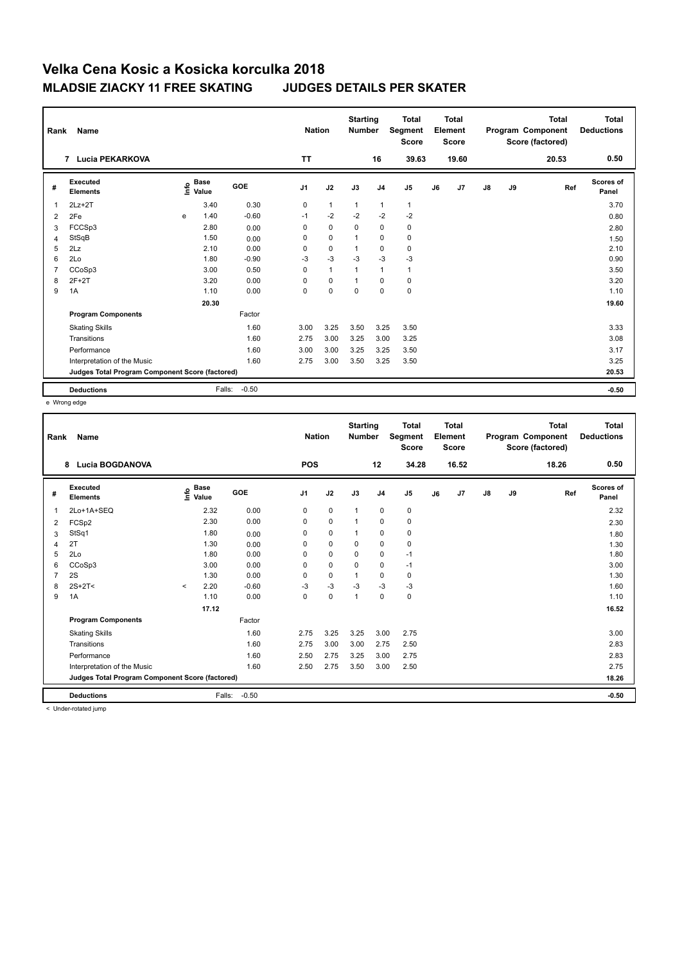| Rank           | Name                                            |   |                      |            |                | <b>Nation</b> | <b>Starting</b><br><b>Number</b> |                | <b>Total</b><br>Segment<br><b>Score</b> |    | <b>Total</b><br>Element<br><b>Score</b> |               |    | <b>Total</b><br>Program Component<br>Score (factored) | Total<br><b>Deductions</b> |
|----------------|-------------------------------------------------|---|----------------------|------------|----------------|---------------|----------------------------------|----------------|-----------------------------------------|----|-----------------------------------------|---------------|----|-------------------------------------------------------|----------------------------|
|                | <b>Lucia PEKARKOVA</b><br>7                     |   |                      |            | <b>TT</b>      |               |                                  | 16             | 39.63                                   |    | 19.60                                   |               |    | 20.53                                                 | 0.50                       |
| #              | Executed<br><b>Elements</b>                     | e | <b>Base</b><br>Value | <b>GOE</b> | J <sub>1</sub> | J2            | J3                               | J <sub>4</sub> | J <sub>5</sub>                          | J6 | J7                                      | $\mathsf{J}8$ | J9 | Ref                                                   | <b>Scores of</b><br>Panel  |
| $\overline{1}$ | $2Lz+2T$                                        |   | 3.40                 | 0.30       | 0              | $\mathbf{1}$  | $\mathbf{1}$                     | $\mathbf{1}$   | $\mathbf{1}$                            |    |                                         |               |    |                                                       | 3.70                       |
| 2              | 2Fe                                             | e | 1.40                 | $-0.60$    | $-1$           | $-2$          | $-2$                             | $-2$           | $-2$                                    |    |                                         |               |    |                                                       | 0.80                       |
| 3              | FCCSp3                                          |   | 2.80                 | 0.00       | $\Omega$       | $\mathbf 0$   | $\Omega$                         | $\mathbf 0$    | 0                                       |    |                                         |               |    |                                                       | 2.80                       |
| $\overline{4}$ | StSqB                                           |   | 1.50                 | 0.00       | 0              | $\mathbf 0$   | 1                                | $\mathbf 0$    | $\pmb{0}$                               |    |                                         |               |    |                                                       | 1.50                       |
| 5              | 2Lz                                             |   | 2.10                 | 0.00       | $\Omega$       | $\mathbf 0$   | 1                                | $\mathbf 0$    | $\mathbf 0$                             |    |                                         |               |    |                                                       | 2.10                       |
| 6              | 2Lo                                             |   | 1.80                 | $-0.90$    | $-3$           | $-3$          | $-3$                             | $-3$           | $-3$                                    |    |                                         |               |    |                                                       | 0.90                       |
| $\overline{7}$ | CCoSp3                                          |   | 3.00                 | 0.50       | 0              | $\mathbf{1}$  | 1                                | $\mathbf{1}$   | $\mathbf{1}$                            |    |                                         |               |    |                                                       | 3.50                       |
| 8              | $2F+2T$                                         |   | 3.20                 | 0.00       | 0              | $\pmb{0}$     | 1                                | $\mathbf 0$    | $\pmb{0}$                               |    |                                         |               |    |                                                       | 3.20                       |
| 9              | 1A                                              |   | 1.10                 | 0.00       | 0              | $\mathbf 0$   | $\mathbf 0$                      | $\mathbf 0$    | $\pmb{0}$                               |    |                                         |               |    |                                                       | 1.10                       |
|                |                                                 |   | 20.30                |            |                |               |                                  |                |                                         |    |                                         |               |    |                                                       | 19.60                      |
|                | <b>Program Components</b>                       |   |                      | Factor     |                |               |                                  |                |                                         |    |                                         |               |    |                                                       |                            |
|                | <b>Skating Skills</b>                           |   |                      | 1.60       | 3.00           | 3.25          | 3.50                             | 3.25           | 3.50                                    |    |                                         |               |    |                                                       | 3.33                       |
|                | Transitions                                     |   |                      | 1.60       | 2.75           | 3.00          | 3.25                             | 3.00           | 3.25                                    |    |                                         |               |    |                                                       | 3.08                       |
|                | Performance                                     |   |                      | 1.60       | 3.00           | 3.00          | 3.25                             | 3.25           | 3.50                                    |    |                                         |               |    |                                                       | 3.17                       |
|                | Interpretation of the Music                     |   |                      | 1.60       | 2.75           | 3.00          | 3.50                             | 3.25           | 3.50                                    |    |                                         |               |    |                                                       | 3.25                       |
|                | Judges Total Program Component Score (factored) |   |                      |            |                |               |                                  |                |                                         |    |                                         |               |    |                                                       | 20.53                      |
|                | <b>Deductions</b>                               |   | Falls:               | $-0.50$    |                |               |                                  |                |                                         |    |                                         |               |    |                                                       | $-0.50$                    |

e Wrong edge

| Rank | Name                                            |         |                                  |            | <b>Nation</b>  |             | <b>Starting</b><br><b>Number</b> |                | <b>Total</b><br>Segment<br><b>Score</b> |    | <b>Total</b><br>Element<br><b>Score</b> |               |    | <b>Total</b><br>Program Component<br>Score (factored) | <b>Total</b><br><b>Deductions</b> |
|------|-------------------------------------------------|---------|----------------------------------|------------|----------------|-------------|----------------------------------|----------------|-----------------------------------------|----|-----------------------------------------|---------------|----|-------------------------------------------------------|-----------------------------------|
|      | <b>Lucia BOGDANOVA</b><br>8                     |         |                                  |            | <b>POS</b>     |             |                                  | 12             | 34.28                                   |    | 16.52                                   |               |    | 18.26                                                 | 0.50                              |
| #    | Executed<br><b>Elements</b>                     |         | <b>Base</b><br>e Base<br>⊆ Value | <b>GOE</b> | J <sub>1</sub> | J2          | J3                               | J <sub>4</sub> | J <sub>5</sub>                          | J6 | J7                                      | $\mathsf{J}8$ | J9 | Ref                                                   | Scores of<br>Panel                |
| 1    | 2Lo+1A+SEQ                                      |         | 2.32                             | 0.00       | 0              | $\mathbf 0$ | $\mathbf{1}$                     | $\mathbf 0$    | $\pmb{0}$                               |    |                                         |               |    |                                                       | 2.32                              |
| 2    | FCSp2                                           |         | 2.30                             | 0.00       | 0              | $\mathbf 0$ | 1                                | 0              | 0                                       |    |                                         |               |    |                                                       | 2.30                              |
| 3    | StSq1                                           |         | 1.80                             | 0.00       | 0              | $\mathbf 0$ | 1                                | 0              | 0                                       |    |                                         |               |    |                                                       | 1.80                              |
| 4    | 2T                                              |         | 1.30                             | 0.00       | 0              | $\mathbf 0$ | $\Omega$                         | $\mathbf 0$    | $\pmb{0}$                               |    |                                         |               |    |                                                       | 1.30                              |
| 5    | 2Lo                                             |         | 1.80                             | 0.00       | 0              | $\mathbf 0$ | 0                                | 0              | $-1$                                    |    |                                         |               |    |                                                       | 1.80                              |
| 6    | CCoSp3                                          |         | 3.00                             | 0.00       | 0              | $\mathbf 0$ | $\Omega$                         | 0              | $-1$                                    |    |                                         |               |    |                                                       | 3.00                              |
|      | 2S                                              |         | 1.30                             | 0.00       | 0              | $\mathbf 0$ | 1                                | 0              | 0                                       |    |                                         |               |    |                                                       | 1.30                              |
| 8    | $2S+2T<$                                        | $\prec$ | 2.20                             | $-0.60$    | $-3$           | $-3$        | $-3$                             | $-3$           | $-3$                                    |    |                                         |               |    |                                                       | 1.60                              |
| 9    | 1A                                              |         | 1.10                             | 0.00       | 0              | $\mathbf 0$ | 1                                | $\mathbf 0$    | $\pmb{0}$                               |    |                                         |               |    |                                                       | 1.10                              |
|      |                                                 |         | 17.12                            |            |                |             |                                  |                |                                         |    |                                         |               |    |                                                       | 16.52                             |
|      | <b>Program Components</b>                       |         |                                  | Factor     |                |             |                                  |                |                                         |    |                                         |               |    |                                                       |                                   |
|      | <b>Skating Skills</b>                           |         |                                  | 1.60       | 2.75           | 3.25        | 3.25                             | 3.00           | 2.75                                    |    |                                         |               |    |                                                       | 3.00                              |
|      | Transitions                                     |         |                                  | 1.60       | 2.75           | 3.00        | 3.00                             | 2.75           | 2.50                                    |    |                                         |               |    |                                                       | 2.83                              |
|      | Performance                                     |         |                                  | 1.60       | 2.50           | 2.75        | 3.25                             | 3.00           | 2.75                                    |    |                                         |               |    |                                                       | 2.83                              |
|      | Interpretation of the Music                     |         |                                  | 1.60       | 2.50           | 2.75        | 3.50                             | 3.00           | 2.50                                    |    |                                         |               |    |                                                       | 2.75                              |
|      | Judges Total Program Component Score (factored) |         |                                  |            |                |             |                                  |                |                                         |    |                                         |               |    |                                                       | 18.26                             |
|      | <b>Deductions</b>                               |         | Falls:                           | $-0.50$    |                |             |                                  |                |                                         |    |                                         |               |    |                                                       | $-0.50$                           |

< Under-rotated jump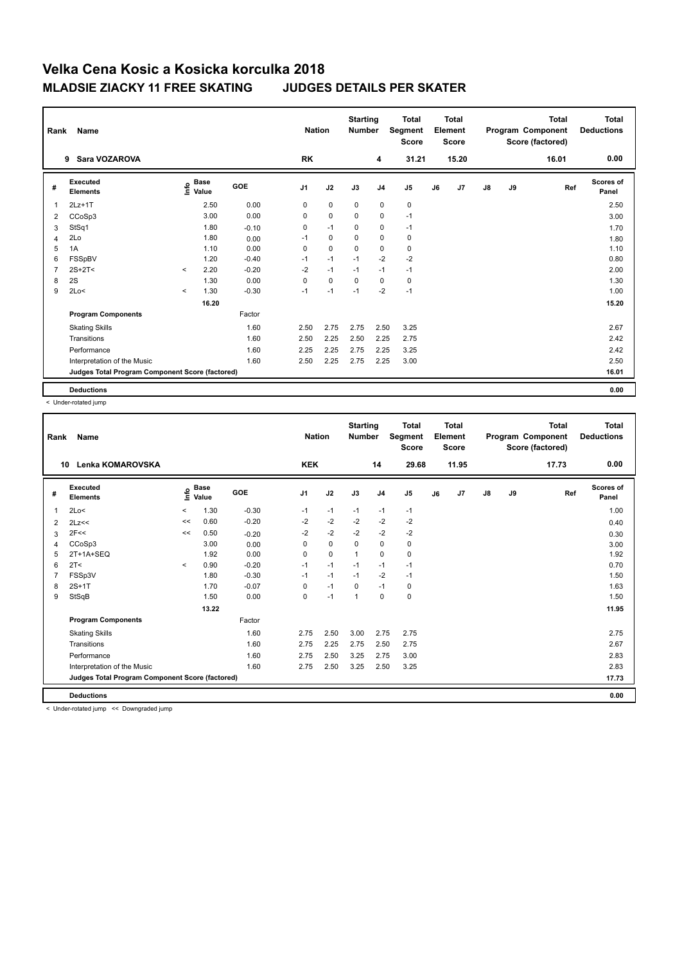| Rank           | Name                                            |         |                      |            | <b>Nation</b>  |             | <b>Starting</b><br><b>Number</b> |                | <b>Total</b><br>Segment<br><b>Score</b> |    | Total<br>Element<br><b>Score</b> |               |    | Total<br>Program Component<br>Score (factored) | Total<br><b>Deductions</b> |
|----------------|-------------------------------------------------|---------|----------------------|------------|----------------|-------------|----------------------------------|----------------|-----------------------------------------|----|----------------------------------|---------------|----|------------------------------------------------|----------------------------|
|                | Sara VOZAROVA<br>9                              |         |                      |            | <b>RK</b>      |             |                                  | 4              | 31.21                                   |    | 15.20                            |               |    | 16.01                                          | 0.00                       |
| #              | Executed<br><b>Elements</b>                     | Info    | <b>Base</b><br>Value | <b>GOE</b> | J <sub>1</sub> | J2          | J3                               | J <sub>4</sub> | J <sub>5</sub>                          | J6 | J7                               | $\mathsf{J}8$ | J9 | Ref                                            | <b>Scores of</b><br>Panel  |
| $\overline{1}$ | $2Lz+1T$                                        |         | 2.50                 | 0.00       | 0              | $\mathbf 0$ | 0                                | $\mathbf 0$    | $\pmb{0}$                               |    |                                  |               |    |                                                | 2.50                       |
| 2              | CCoSp3                                          |         | 3.00                 | 0.00       | 0              | $\mathbf 0$ | $\Omega$                         | $\mathbf 0$    | $-1$                                    |    |                                  |               |    |                                                | 3.00                       |
| 3              | StSq1                                           |         | 1.80                 | $-0.10$    | 0              | $-1$        | 0                                | $\mathbf 0$    | $-1$                                    |    |                                  |               |    |                                                | 1.70                       |
| $\overline{4}$ | 2Lo                                             |         | 1.80                 | 0.00       | $-1$           | $\pmb{0}$   | 0                                | $\mathbf 0$    | 0                                       |    |                                  |               |    |                                                | 1.80                       |
| 5              | 1A                                              |         | 1.10                 | 0.00       | 0              | $\mathbf 0$ | $\mathbf 0$                      | $\mathbf 0$    | 0                                       |    |                                  |               |    |                                                | 1.10                       |
| 6              | FSSpBV                                          |         | 1.20                 | $-0.40$    | $-1$           | $-1$        | $-1$                             | $-2$           | $-2$                                    |    |                                  |               |    |                                                | 0.80                       |
| $\overline{7}$ | $2S+2T<$                                        | $\prec$ | 2.20                 | $-0.20$    | $-2$           | $-1$        | $-1$                             | $-1$           | $-1$                                    |    |                                  |               |    |                                                | 2.00                       |
| 8              | 2S                                              |         | 1.30                 | 0.00       | 0              | $\mathbf 0$ | 0                                | 0              | 0                                       |    |                                  |               |    |                                                | 1.30                       |
| 9              | 2Lo<                                            | $\,<\,$ | 1.30                 | $-0.30$    | $-1$           | $-1$        | $-1$                             | $-2$           | $-1$                                    |    |                                  |               |    |                                                | 1.00                       |
|                |                                                 |         | 16.20                |            |                |             |                                  |                |                                         |    |                                  |               |    |                                                | 15.20                      |
|                | <b>Program Components</b>                       |         |                      | Factor     |                |             |                                  |                |                                         |    |                                  |               |    |                                                |                            |
|                | <b>Skating Skills</b>                           |         |                      | 1.60       | 2.50           | 2.75        | 2.75                             | 2.50           | 3.25                                    |    |                                  |               |    |                                                | 2.67                       |
|                | Transitions                                     |         |                      | 1.60       | 2.50           | 2.25        | 2.50                             | 2.25           | 2.75                                    |    |                                  |               |    |                                                | 2.42                       |
|                | Performance                                     |         |                      | 1.60       | 2.25           | 2.25        | 2.75                             | 2.25           | 3.25                                    |    |                                  |               |    |                                                | 2.42                       |
|                | Interpretation of the Music                     |         |                      | 1.60       | 2.50           | 2.25        | 2.75                             | 2.25           | 3.00                                    |    |                                  |               |    |                                                | 2.50                       |
|                | Judges Total Program Component Score (factored) |         |                      |            |                |             |                                  |                |                                         |    |                                  |               |    |                                                | 16.01                      |
|                | <b>Deductions</b>                               |         |                      |            |                |             |                                  |                |                                         |    |                                  |               |    |                                                | 0.00                       |

< Under-rotated jump

| Rank | Name                                            |         |                                  |            | <b>Nation</b>  |             | <b>Starting</b><br><b>Number</b> |                | <b>Total</b><br>Segment<br><b>Score</b> |    | <b>Total</b><br>Element<br><b>Score</b> |               |    | <b>Total</b><br>Program Component<br>Score (factored) | <b>Total</b><br><b>Deductions</b> |
|------|-------------------------------------------------|---------|----------------------------------|------------|----------------|-------------|----------------------------------|----------------|-----------------------------------------|----|-----------------------------------------|---------------|----|-------------------------------------------------------|-----------------------------------|
| 10   | <b>Lenka KOMAROVSKA</b>                         |         |                                  |            | <b>KEK</b>     |             |                                  | 14             | 29.68                                   |    | 11.95                                   |               |    | 17.73                                                 | 0.00                              |
| #    | Executed<br><b>Elements</b>                     |         | <b>Base</b><br>e Base<br>⊆ Value | <b>GOE</b> | J <sub>1</sub> | J2          | J3                               | J <sub>4</sub> | J5                                      | J6 | J7                                      | $\mathsf{J}8$ | J9 | Ref                                                   | <b>Scores of</b><br>Panel         |
| 1    | 2Lo<                                            | $\,<\,$ | 1.30                             | $-0.30$    | $-1$           | $-1$        | $-1$                             | $-1$           | $-1$                                    |    |                                         |               |    |                                                       | 1.00                              |
| 2    | 2Lz<<                                           | <<      | 0.60                             | $-0.20$    | $-2$           | $-2$        | $-2$                             | $-2$           | -2                                      |    |                                         |               |    |                                                       | 0.40                              |
| 3    | 2F<<                                            | <<      | 0.50                             | $-0.20$    | $-2$           | $-2$        | $-2$                             | $-2$           | -2                                      |    |                                         |               |    |                                                       | 0.30                              |
| 4    | CCoSp3                                          |         | 3.00                             | 0.00       | 0              | $\mathbf 0$ | $\mathbf 0$                      | $\mathbf 0$    | $\pmb{0}$                               |    |                                         |               |    |                                                       | 3.00                              |
| 5    | 2T+1A+SEQ                                       |         | 1.92                             | 0.00       | 0              | $\mathbf 0$ | $\mathbf{1}$                     | 0              | $\pmb{0}$                               |    |                                         |               |    |                                                       | 1.92                              |
| 6    | 2T <                                            | $\prec$ | 0.90                             | $-0.20$    | $-1$           | $-1$        | $-1$                             | $-1$           | $-1$                                    |    |                                         |               |    |                                                       | 0.70                              |
|      | FSSp3V                                          |         | 1.80                             | $-0.30$    | $-1$           | $-1$        | $-1$                             | $-2$           | $-1$                                    |    |                                         |               |    |                                                       | 1.50                              |
| 8    | $2S+1T$                                         |         | 1.70                             | $-0.07$    | 0              | $-1$        | $\mathbf 0$                      | $-1$           | 0                                       |    |                                         |               |    |                                                       | 1.63                              |
| 9    | StSqB                                           |         | 1.50                             | 0.00       | 0              | $-1$        | 1                                | $\mathbf 0$    | $\pmb{0}$                               |    |                                         |               |    |                                                       | 1.50                              |
|      |                                                 |         | 13.22                            |            |                |             |                                  |                |                                         |    |                                         |               |    |                                                       | 11.95                             |
|      | <b>Program Components</b>                       |         |                                  | Factor     |                |             |                                  |                |                                         |    |                                         |               |    |                                                       |                                   |
|      | <b>Skating Skills</b>                           |         |                                  | 1.60       | 2.75           | 2.50        | 3.00                             | 2.75           | 2.75                                    |    |                                         |               |    |                                                       | 2.75                              |
|      | Transitions                                     |         |                                  | 1.60       | 2.75           | 2.25        | 2.75                             | 2.50           | 2.75                                    |    |                                         |               |    |                                                       | 2.67                              |
|      | Performance                                     |         |                                  | 1.60       | 2.75           | 2.50        | 3.25                             | 2.75           | 3.00                                    |    |                                         |               |    |                                                       | 2.83                              |
|      | Interpretation of the Music                     |         |                                  | 1.60       | 2.75           | 2.50        | 3.25                             | 2.50           | 3.25                                    |    |                                         |               |    |                                                       | 2.83                              |
|      | Judges Total Program Component Score (factored) |         |                                  |            |                |             |                                  |                |                                         |    |                                         |               |    |                                                       | 17.73                             |
|      | <b>Deductions</b>                               |         |                                  |            |                |             |                                  |                |                                         |    |                                         |               |    |                                                       | 0.00                              |

< Under-rotated jump << Downgraded jump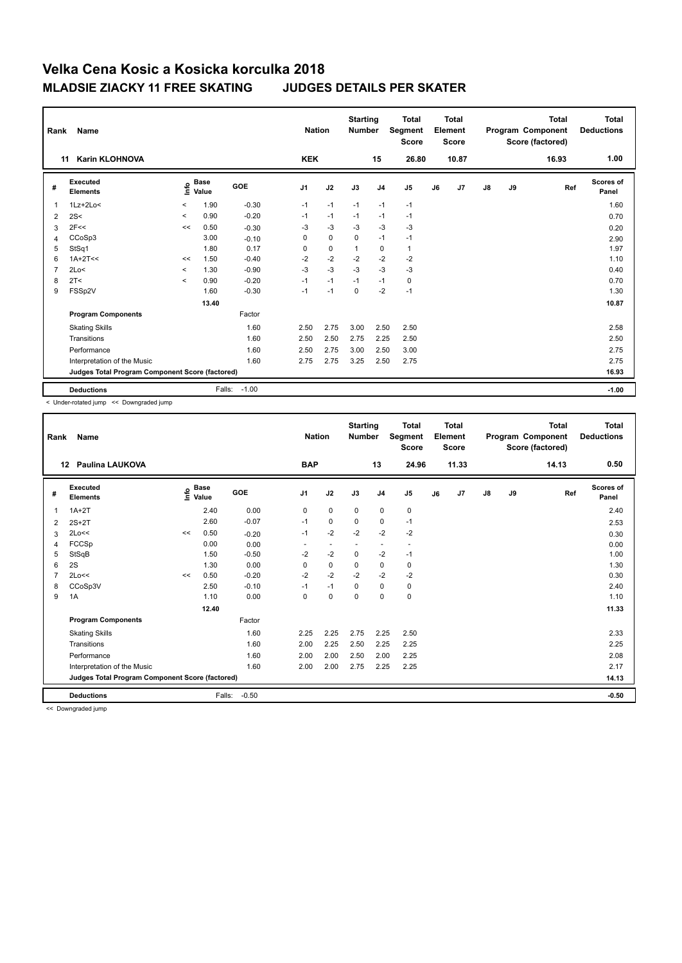| Rank           | Name                                            |         |                      |         | <b>Nation</b>  |             | <b>Starting</b><br><b>Number</b> |                | <b>Total</b><br>Segment<br><b>Score</b> |    | Total<br>Element<br>Score |               |    | <b>Total</b><br>Program Component<br>Score (factored) | <b>Total</b><br><b>Deductions</b> |
|----------------|-------------------------------------------------|---------|----------------------|---------|----------------|-------------|----------------------------------|----------------|-----------------------------------------|----|---------------------------|---------------|----|-------------------------------------------------------|-----------------------------------|
| 11             | <b>Karin KLOHNOVA</b>                           |         |                      |         | <b>KEK</b>     |             |                                  | 15             | 26.80                                   |    | 10.87                     |               |    | 16.93                                                 | 1.00                              |
| #              | Executed<br><b>Elements</b>                     | ١nfo    | <b>Base</b><br>Value | GOE     | J <sub>1</sub> | J2          | J3                               | J <sub>4</sub> | J <sub>5</sub>                          | J6 | J <sub>7</sub>            | $\mathsf{J}8$ | J9 | Ref                                                   | Scores of<br>Panel                |
| 1              | $1Lz + 2Lo <$                                   | $\prec$ | 1.90                 | $-0.30$ | $-1$           | $-1$        | $-1$                             | $-1$           | $-1$                                    |    |                           |               |    |                                                       | 1.60                              |
| 2              | 2S<                                             | $\,<$   | 0.90                 | $-0.20$ | $-1$           | $-1$        | $-1$                             | $-1$           | $-1$                                    |    |                           |               |    |                                                       | 0.70                              |
| 3              | 2F<<                                            | <<      | 0.50                 | $-0.30$ | $-3$           | $-3$        | $-3$                             | $-3$           | $-3$                                    |    |                           |               |    |                                                       | 0.20                              |
| 4              | CCoSp3                                          |         | 3.00                 | $-0.10$ | 0              | $\mathbf 0$ | $\Omega$                         | $-1$           | $-1$                                    |    |                           |               |    |                                                       | 2.90                              |
| 5              | StSq1                                           |         | 1.80                 | 0.17    | 0              | $\mathbf 0$ | 1                                | 0              | $\mathbf{1}$                            |    |                           |               |    |                                                       | 1.97                              |
| 6              | $1A+2T<<$                                       | <<      | 1.50                 | $-0.40$ | $-2$           | $-2$        | $-2$                             | $-2$           | $-2$                                    |    |                           |               |    |                                                       | 1.10                              |
| $\overline{7}$ | 2Lo<                                            | $\,<$   | 1.30                 | $-0.90$ | $-3$           | $-3$        | $-3$                             | $-3$           | $-3$                                    |    |                           |               |    |                                                       | 0.40                              |
| 8              | 2T <                                            | $\prec$ | 0.90                 | $-0.20$ | $-1$           | $-1$        | $-1$                             | $-1$           | 0                                       |    |                           |               |    |                                                       | 0.70                              |
| 9              | FSSp2V                                          |         | 1.60                 | $-0.30$ | $-1$           | $-1$        | 0                                | $-2$           | $-1$                                    |    |                           |               |    |                                                       | 1.30                              |
|                |                                                 |         | 13.40                |         |                |             |                                  |                |                                         |    |                           |               |    |                                                       | 10.87                             |
|                | <b>Program Components</b>                       |         |                      | Factor  |                |             |                                  |                |                                         |    |                           |               |    |                                                       |                                   |
|                | <b>Skating Skills</b>                           |         |                      | 1.60    | 2.50           | 2.75        | 3.00                             | 2.50           | 2.50                                    |    |                           |               |    |                                                       | 2.58                              |
|                | Transitions                                     |         |                      | 1.60    | 2.50           | 2.50        | 2.75                             | 2.25           | 2.50                                    |    |                           |               |    |                                                       | 2.50                              |
|                | Performance                                     |         |                      | 1.60    | 2.50           | 2.75        | 3.00                             | 2.50           | 3.00                                    |    |                           |               |    |                                                       | 2.75                              |
|                | Interpretation of the Music                     |         |                      | 1.60    | 2.75           | 2.75        | 3.25                             | 2.50           | 2.75                                    |    |                           |               |    |                                                       | 2.75                              |
|                | Judges Total Program Component Score (factored) |         |                      |         |                |             |                                  |                |                                         |    |                           |               |    |                                                       | 16.93                             |
|                | <b>Deductions</b>                               |         | Falls:               | $-1.00$ |                |             |                                  |                |                                         |    |                           |               |    |                                                       | $-1.00$                           |

< Under-rotated jump << Downgraded jump

| Rank         | Name                                            |    |                                    |         | <b>Nation</b>  |             | <b>Starting</b><br><b>Number</b> |                          | <b>Total</b><br>Segment<br><b>Score</b> |    | Total<br>Element<br><b>Score</b> |               |    | <b>Total</b><br>Program Component<br>Score (factored) | <b>Total</b><br><b>Deductions</b> |
|--------------|-------------------------------------------------|----|------------------------------------|---------|----------------|-------------|----------------------------------|--------------------------|-----------------------------------------|----|----------------------------------|---------------|----|-------------------------------------------------------|-----------------------------------|
| 12           | <b>Paulina LAUKOVA</b>                          |    |                                    |         | <b>BAP</b>     |             |                                  | 13                       | 24.96                                   |    | 11.33                            |               |    | 14.13                                                 | 0.50                              |
| #            | Executed<br><b>Elements</b>                     |    | <b>Base</b><br>$\frac{6}{5}$ Value | GOE     | J <sub>1</sub> | J2          | J3                               | J <sub>4</sub>           | J <sub>5</sub>                          | J6 | J7                               | $\mathsf{J}8$ | J9 | Ref                                                   | Scores of<br>Panel                |
| $\mathbf{1}$ | $1A+2T$                                         |    | 2.40                               | 0.00    | 0              | $\mathbf 0$ | $\mathbf 0$                      | 0                        | 0                                       |    |                                  |               |    |                                                       | 2.40                              |
| 2            | $2S+2T$                                         |    | 2.60                               | $-0.07$ | $-1$           | $\mathbf 0$ | $\mathbf 0$                      | $\mathbf 0$              | $-1$                                    |    |                                  |               |    |                                                       | 2.53                              |
| 3            | 2Lo<<                                           | << | 0.50                               | $-0.20$ | $-1$           | $-2$        | $-2$                             | $-2$                     | $-2$                                    |    |                                  |               |    |                                                       | 0.30                              |
| 4            | FCCSp                                           |    | 0.00                               | 0.00    | ۰              | ٠           | $\overline{\phantom{a}}$         | $\overline{\phantom{a}}$ | $\overline{\phantom{a}}$                |    |                                  |               |    |                                                       | 0.00                              |
| 5            | StSqB                                           |    | 1.50                               | $-0.50$ | $-2$           | $-2$        | $\mathbf 0$                      | $-2$                     | $-1$                                    |    |                                  |               |    |                                                       | 1.00                              |
| 6            | 2S                                              |    | 1.30                               | 0.00    | 0              | $\mathbf 0$ | 0                                | 0                        | 0                                       |    |                                  |               |    |                                                       | 1.30                              |
| 7            | 2Lo<<                                           | << | 0.50                               | $-0.20$ | $-2$           | $-2$        | $-2$                             | $-2$                     | $-2$                                    |    |                                  |               |    |                                                       | 0.30                              |
| 8            | CCoSp3V                                         |    | 2.50                               | $-0.10$ | $-1$           | $-1$        | 0                                | 0                        | 0                                       |    |                                  |               |    |                                                       | 2.40                              |
| 9            | 1A                                              |    | 1.10                               | 0.00    | 0              | $\mathbf 0$ | $\mathbf 0$                      | $\mathbf 0$              | $\mathbf 0$                             |    |                                  |               |    |                                                       | 1.10                              |
|              |                                                 |    | 12.40                              |         |                |             |                                  |                          |                                         |    |                                  |               |    |                                                       | 11.33                             |
|              | <b>Program Components</b>                       |    |                                    | Factor  |                |             |                                  |                          |                                         |    |                                  |               |    |                                                       |                                   |
|              | <b>Skating Skills</b>                           |    |                                    | 1.60    | 2.25           | 2.25        | 2.75                             | 2.25                     | 2.50                                    |    |                                  |               |    |                                                       | 2.33                              |
|              | Transitions                                     |    |                                    | 1.60    | 2.00           | 2.25        | 2.50                             | 2.25                     | 2.25                                    |    |                                  |               |    |                                                       | 2.25                              |
|              | Performance                                     |    |                                    | 1.60    | 2.00           | 2.00        | 2.50                             | 2.00                     | 2.25                                    |    |                                  |               |    |                                                       | 2.08                              |
|              | Interpretation of the Music                     |    |                                    | 1.60    | 2.00           | 2.00        | 2.75                             | 2.25                     | 2.25                                    |    |                                  |               |    |                                                       | 2.17                              |
|              | Judges Total Program Component Score (factored) |    |                                    |         |                |             |                                  |                          |                                         |    |                                  |               |    |                                                       | 14.13                             |
|              | <b>Deductions</b>                               |    | Falls:                             | $-0.50$ |                |             |                                  |                          |                                         |    |                                  |               |    |                                                       | $-0.50$                           |

<< Downgraded jump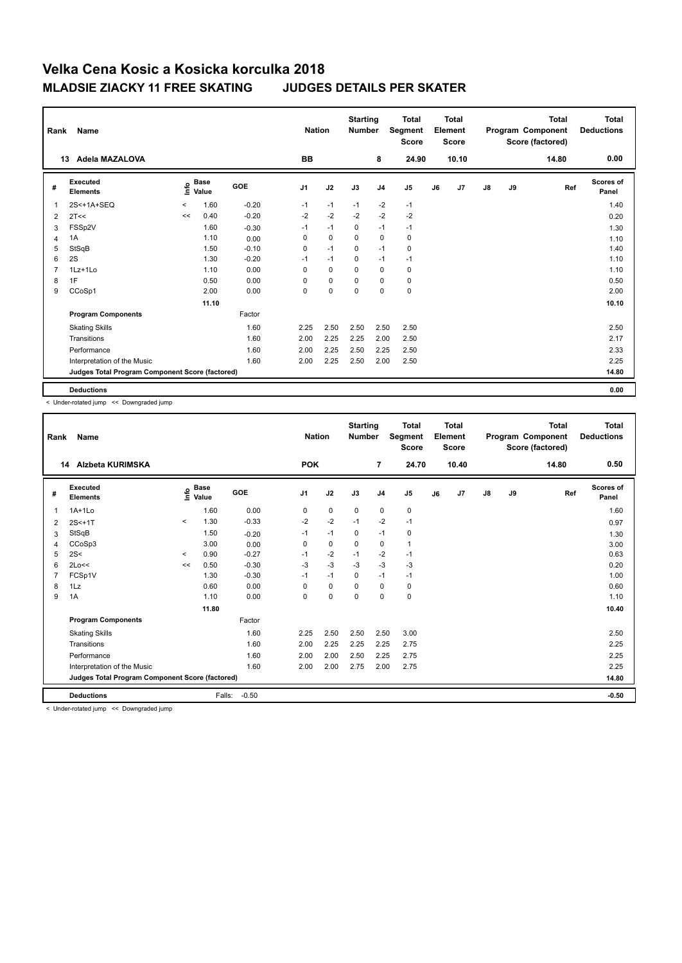| Rank           | Name                                            |         |                      |         | <b>Nation</b>  |             | <b>Starting</b><br><b>Number</b> |                | <b>Total</b><br>Segment<br><b>Score</b> |    | <b>Total</b><br>Element<br><b>Score</b> |               |    | <b>Total</b><br>Program Component<br>Score (factored) | <b>Total</b><br><b>Deductions</b> |
|----------------|-------------------------------------------------|---------|----------------------|---------|----------------|-------------|----------------------------------|----------------|-----------------------------------------|----|-----------------------------------------|---------------|----|-------------------------------------------------------|-----------------------------------|
|                | Adela MAZALOVA<br>13                            |         |                      |         | <b>BB</b>      |             |                                  | 8              | 24.90                                   |    | 10.10                                   |               |    | 14.80                                                 | 0.00                              |
| #              | Executed<br><b>Elements</b>                     | e       | <b>Base</b><br>Value | GOE     | J <sub>1</sub> | J2          | J3                               | J <sub>4</sub> | J <sub>5</sub>                          | J6 | J7                                      | $\mathsf{J}8$ | J9 | Ref                                                   | <b>Scores of</b><br>Panel         |
| $\overline{1}$ | 2S<+1A+SEQ                                      | $\prec$ | 1.60                 | $-0.20$ | $-1$           | $-1$        | $-1$                             | $-2$           | $-1$                                    |    |                                         |               |    |                                                       | 1.40                              |
| 2              | 2T<<                                            | <<      | 0.40                 | $-0.20$ | $-2$           | $-2$        | $-2$                             | $-2$           | $-2$                                    |    |                                         |               |    |                                                       | 0.20                              |
| 3              | FSSp2V                                          |         | 1.60                 | $-0.30$ | $-1$           | $-1$        | 0                                | $-1$           | $-1$                                    |    |                                         |               |    |                                                       | 1.30                              |
| 4              | 1A                                              |         | 1.10                 | 0.00    | $\mathbf 0$    | $\mathbf 0$ | $\mathbf 0$                      | $\mathbf 0$    | $\mathbf 0$                             |    |                                         |               |    |                                                       | 1.10                              |
| 5              | StSqB                                           |         | 1.50                 | $-0.10$ | 0              | $-1$        | 0                                | $-1$           | 0                                       |    |                                         |               |    |                                                       | 1.40                              |
| 6              | 2S                                              |         | 1.30                 | $-0.20$ | $-1$           | $-1$        | 0                                | $-1$           | $-1$                                    |    |                                         |               |    |                                                       | 1.10                              |
| $\overline{7}$ | 1Lz+1Lo                                         |         | 1.10                 | 0.00    | $\Omega$       | $\mathbf 0$ | $\Omega$                         | $\mathbf 0$    | 0                                       |    |                                         |               |    |                                                       | 1.10                              |
| 8              | 1F                                              |         | 0.50                 | 0.00    | 0              | $\mathbf 0$ | $\mathbf 0$                      | $\mathbf 0$    | 0                                       |    |                                         |               |    |                                                       | 0.50                              |
| 9              | CCoSp1                                          |         | 2.00                 | 0.00    | $\mathbf 0$    | $\pmb{0}$   | $\mathbf 0$                      | $\mathbf 0$    | $\pmb{0}$                               |    |                                         |               |    |                                                       | 2.00                              |
|                |                                                 |         | 11.10                |         |                |             |                                  |                |                                         |    |                                         |               |    |                                                       | 10.10                             |
|                | <b>Program Components</b>                       |         |                      | Factor  |                |             |                                  |                |                                         |    |                                         |               |    |                                                       |                                   |
|                | <b>Skating Skills</b>                           |         |                      | 1.60    | 2.25           | 2.50        | 2.50                             | 2.50           | 2.50                                    |    |                                         |               |    |                                                       | 2.50                              |
|                | Transitions                                     |         |                      | 1.60    | 2.00           | 2.25        | 2.25                             | 2.00           | 2.50                                    |    |                                         |               |    |                                                       | 2.17                              |
|                | Performance                                     |         |                      | 1.60    | 2.00           | 2.25        | 2.50                             | 2.25           | 2.50                                    |    |                                         |               |    |                                                       | 2.33                              |
|                | Interpretation of the Music                     |         |                      | 1.60    | 2.00           | 2.25        | 2.50                             | 2.00           | 2.50                                    |    |                                         |               |    |                                                       | 2.25                              |
|                | Judges Total Program Component Score (factored) |         |                      |         |                |             |                                  |                |                                         |    |                                         |               |    |                                                       | 14.80                             |
|                | <b>Deductions</b>                               |         |                      |         |                |             |                                  |                |                                         |    |                                         |               |    |                                                       | 0.00                              |

< Under-rotated jump << Downgraded jump

| Rank | Name                                            |              |                                  |            | <b>Nation</b>  |             | <b>Starting</b><br><b>Number</b> |                | <b>Total</b><br>Segment<br><b>Score</b> |    | <b>Total</b><br>Element<br>Score |               |    | <b>Total</b><br>Program Component<br>Score (factored) | <b>Total</b><br><b>Deductions</b> |
|------|-------------------------------------------------|--------------|----------------------------------|------------|----------------|-------------|----------------------------------|----------------|-----------------------------------------|----|----------------------------------|---------------|----|-------------------------------------------------------|-----------------------------------|
|      | Alzbeta KURIMSKA<br>14                          |              |                                  |            | <b>POK</b>     |             |                                  | 7              | 24.70                                   |    | 10.40                            |               |    | 14.80                                                 | 0.50                              |
| #    | Executed<br><b>Elements</b>                     |              | <b>Base</b><br>e Base<br>⊆ Value | <b>GOE</b> | J <sub>1</sub> | J2          | J3                               | J <sub>4</sub> | J <sub>5</sub>                          | J6 | J7                               | $\mathsf{J}8$ | J9 | Ref                                                   | <b>Scores of</b><br>Panel         |
| 1    | $1A+1Lo$                                        |              | 1.60                             | 0.00       | 0              | $\mathbf 0$ | $\mathbf 0$                      | $\mathbf 0$    | 0                                       |    |                                  |               |    |                                                       | 1.60                              |
| 2    | $2S < +1T$                                      | $\prec$      | 1.30                             | $-0.33$    | $-2$           | $-2$        | $-1$                             | $-2$           | $-1$                                    |    |                                  |               |    |                                                       | 0.97                              |
| 3    | StSqB                                           |              | 1.50                             | $-0.20$    | $-1$           | $-1$        | 0                                | $-1$           | 0                                       |    |                                  |               |    |                                                       | 1.30                              |
| 4    | CCoSp3                                          |              | 3.00                             | 0.00       | 0              | $\mathbf 0$ | $\Omega$                         | $\mathbf 0$    | 1                                       |    |                                  |               |    |                                                       | 3.00                              |
| 5    | 2S<                                             | $\checkmark$ | 0.90                             | $-0.27$    | $-1$           | $-2$        | $-1$                             | $-2$           | $-1$                                    |    |                                  |               |    |                                                       | 0.63                              |
| 6    | 2Lo<<                                           | <<           | 0.50                             | $-0.30$    | $-3$           | $-3$        | $-3$                             | $-3$           | $-3$                                    |    |                                  |               |    |                                                       | 0.20                              |
|      | FCSp1V                                          |              | 1.30                             | $-0.30$    | $-1$           | $-1$        | 0                                | $-1$           | $-1$                                    |    |                                  |               |    |                                                       | 1.00                              |
| 8    | 1Lz                                             |              | 0.60                             | 0.00       | $\Omega$       | $\mathbf 0$ | $\Omega$                         | $\mathbf 0$    | 0                                       |    |                                  |               |    |                                                       | 0.60                              |
| 9    | 1A                                              |              | 1.10                             | 0.00       | 0              | $\mathbf 0$ | $\mathbf 0$                      | $\mathbf 0$    | $\mathbf 0$                             |    |                                  |               |    |                                                       | 1.10                              |
|      |                                                 |              | 11.80                            |            |                |             |                                  |                |                                         |    |                                  |               |    |                                                       | 10.40                             |
|      | <b>Program Components</b>                       |              |                                  | Factor     |                |             |                                  |                |                                         |    |                                  |               |    |                                                       |                                   |
|      | <b>Skating Skills</b>                           |              |                                  | 1.60       | 2.25           | 2.50        | 2.50                             | 2.50           | 3.00                                    |    |                                  |               |    |                                                       | 2.50                              |
|      | Transitions                                     |              |                                  | 1.60       | 2.00           | 2.25        | 2.25                             | 2.25           | 2.75                                    |    |                                  |               |    |                                                       | 2.25                              |
|      | Performance                                     |              |                                  | 1.60       | 2.00           | 2.00        | 2.50                             | 2.25           | 2.75                                    |    |                                  |               |    |                                                       | 2.25                              |
|      | Interpretation of the Music                     |              |                                  | 1.60       | 2.00           | 2.00        | 2.75                             | 2.00           | 2.75                                    |    |                                  |               |    |                                                       | 2.25                              |
|      | Judges Total Program Component Score (factored) |              |                                  |            |                |             |                                  |                |                                         |    |                                  |               |    |                                                       | 14.80                             |
|      | <b>Deductions</b>                               |              | Falls:                           | $-0.50$    |                |             |                                  |                |                                         |    |                                  |               |    |                                                       | $-0.50$                           |

< Under-rotated jump << Downgraded jump